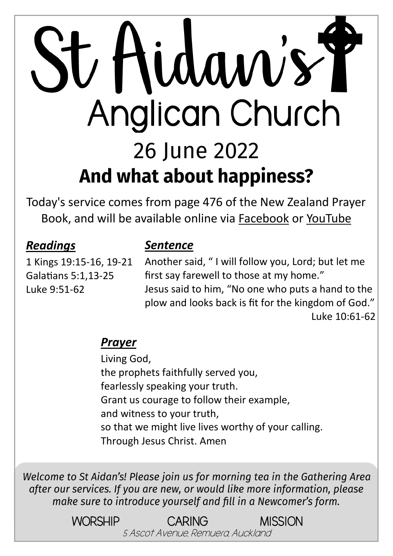# St Hidaw's T Anglican Church 26 June 2022 And what about happiness?

Today's service comes from page 476 of the New Zealand Prayer Book, and will be available online via [Facebook](https://www.facebook.com/StAidansRemuera/) or [YouTube](https://www.youtube.com/channel/UCp1KTUD3GRs20GGAFeAZ7fQ)

#### *Readings*

1 Kings 19:15-16, 19-21 Galatians 5:1,13-25 Luke 9:51-62

#### *Sentence*

Another said, " I will follow you, Lord; but let me first say farewell to those at my home." Jesus said to him, "No one who puts a hand to the plow and looks back is fit for the kingdom of God." Luke 10:61-62

#### *Prayer*

Living God, the prophets faithfully served you, fearlessly speaking your truth. Grant us courage to follow their example, and witness to your truth, so that we might live lives worthy of your calling. Through Jesus Christ. Amen

Welcome to St Aidan's! Please join us for morning tea in the Gathering Area after our services. If you are new, or would like more information, please make sure to introduce yourself and fill in a Newcomer's form.

> WORSHIP CARING MISSION 5 Ascot Avenue, Remuera, Auckland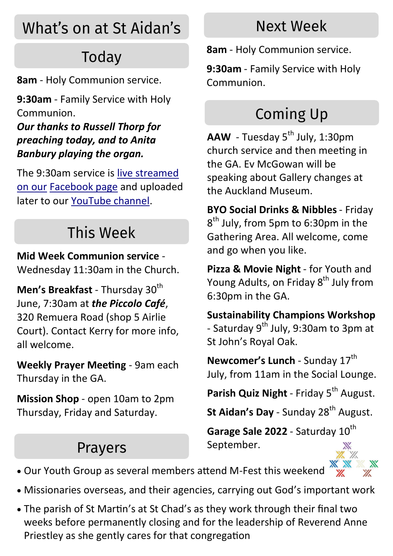## What's on at St Aidan's

## Todav

**8am** - Holy Communion service.

**9:30am** - Family Service with Holy Communion.

*Our thanks to Russell Thorp for preaching today, and to Anita Banbury playing the organ.*

The 9:30am service is [live streamed](https://www.facebook.com/StAidansRemuera/)  [on our](https://www.facebook.com/StAidansRemuera/) [Facebook page](https://www.facebook.com/StAidansRemuera/) and uploaded later to our [YouTube channel.](https://www.youtube.com/channel/UCp1KTUD3GRs20GGAFeAZ7fQ)

### This Week

**Mid Week Communion service** - Wednesday 11:30am in the Church.

**Men's Breakfast - Thursday 30<sup>th</sup>** June, 7:30am at *the Piccolo Café*, 320 Remuera Road (shop 5 Airlie Court). Contact Kerry for more info, all welcome.

**Weekly Prayer Meeting** - 9am each Thursday in the GA.

**Mission Shop** - open 10am to 2pm Thursday, Friday and Saturday.

#### Prayers

#### Next Week

**8am** - Holy Communion service.

**9:30am** - Family Service with Holy Communion.

## **Coming Up**

AAW - Tuesday 5<sup>th</sup> July, 1:30pm church service and then meeting in the GA. Ev McGowan will be speaking about Gallery changes at the Auckland Museum.

**BYO Social Drinks & Nibbles** - Friday 8<sup>th</sup> July, from 5pm to 6:30pm in the Gathering Area. All welcome, come and go when you like.

**Pizza & Movie Night** - for Youth and Young Adults, on Friday 8<sup>th</sup> July from 6:30pm in the GA.

**Sustainability Champions Workshop**  - Saturday  $9^{th}$  July, 9:30am to 3pm at St John's Royal Oak.

**Newcomer's Lunch - Sunday 17<sup>th</sup>** July, from 11am in the Social Lounge.

Parish Quiz Night - Friday 5<sup>th</sup> August.

**St Aidan's Day** - Sunday 28<sup>th</sup> August.

Garage Sale 2022 - Saturday 10<sup>th</sup> September.

- Our Youth Group as several members attend M-Fest this weekend
- Missionaries overseas, and their agencies, carrying out God's important work
- The parish of St Martin's at St Chad's as they work through their final two weeks before permanently closing and for the leadership of Reverend Anne Priestley as she gently cares for that congregation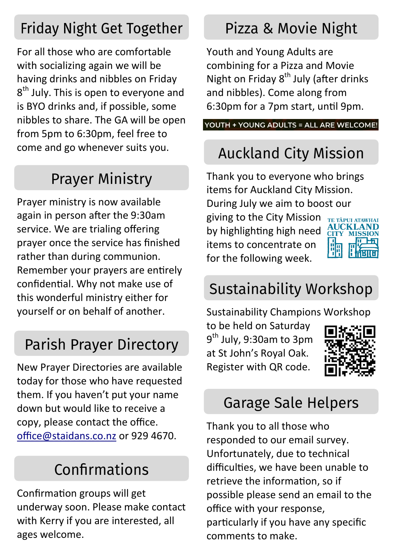#### **Friday Night Get Together**

For all those who are comfortable with socializing again we will be having drinks and nibbles on Friday 8<sup>th</sup> July. This is open to everyone and is BYO drinks and, if possible, some nibbles to share. The GA will be open from 5pm to 6:30pm, feel free to come and go whenever suits you.

## **Prayer Ministry**

Prayer ministry is now available again in person after the 9:30am service. We are trialing offering prayer once the service has finished rather than during communion. Remember your prayers are entirely confidential. Why not make use of this wonderful ministry either for yourself or on behalf of another.

#### **Parish Prayer Directory**

New Prayer Directories are available today for those who have requested them. If you haven't put your name down but would like to receive a copy, please contact the office. [office@staidans.co.nz](mailto:office@staidans.co.nz?subject=Parish%20Prayer%20Directory) or 929 4670.

#### Confirmations

Confirmation groups will get underway soon. Please make contact with Kerry if you are interested, all ages welcome.

#### Pizza & Movie Night

Youth and Young Adults are combining for a Pizza and Movie Night on Friday 8<sup>th</sup> July (after drinks and nibbles). Come along from 6:30pm for a 7pm start, until 9pm.

YOUTH + YOUNG ADULTS = ALL ARE WELCOME!

## **Auckland City Mission**

Thank you to everyone who brings items for Auckland City Mission. During July we aim to boost our

giving to the City Mission by highlighting high need items to concentrate on for the following week.



#### **Sustainability Workshop**

Sustainability Champions Workshop

to be held on Saturday 9<sup>th</sup> July, 9:30am to 3pm at St John's Royal Oak. Register with QR code.



#### **Garage Sale Helpers**

Thank you to all those who responded to our email survey. Unfortunately, due to technical difficulties, we have been unable to retrieve the information, so if possible please send an email to the office with your response, particularly if you have any specific comments to make.